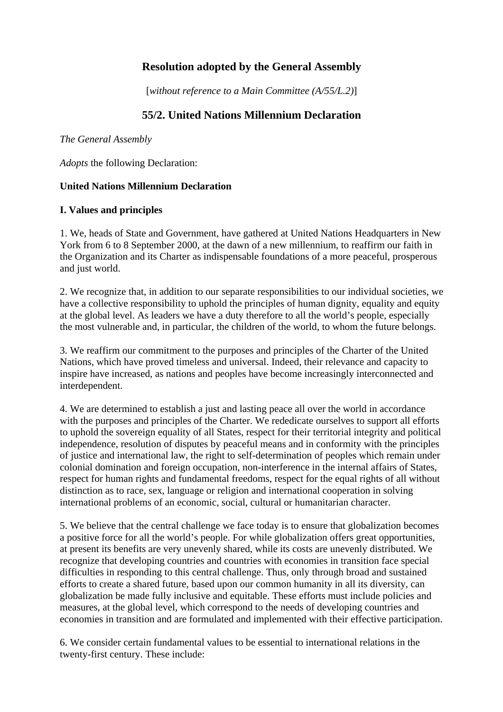## **Resolution adopted by the General Assembly**

[*without reference to a Main Committee (A/55/L.2)*]

# **55/2. United Nations Millennium Declaration**

*The General Assembly*

*Adopts* the following Declaration:

#### **United Nations Millennium Declaration**

## **I. Values and principles**

1. We, heads of State and Government, have gathered at United Nations Headquarters in New York from 6 to 8 September 2000, at the dawn of a new millennium, to reaffirm our faith in the Organization and its Charter as indispensable foundations of a more peaceful, prosperous and just world.

2. We recognize that, in addition to our separate responsibilities to our individual societies, we have a collective responsibility to uphold the principles of human dignity, equality and equity at the global level. As leaders we have a duty therefore to all the world's people, especially the most vulnerable and, in particular, the children of the world, to whom the future belongs.

3. We reaffirm our commitment to the purposes and principles of the Charter of the United Nations, which have proved timeless and universal. Indeed, their relevance and capacity to inspire have increased, as nations and peoples have become increasingly interconnected and interdependent.

4. We are determined to establish a just and lasting peace all over the world in accordance with the purposes and principles of the Charter. We rededicate ourselves to support all efforts to uphold the sovereign equality of all States, respect for their territorial integrity and political independence, resolution of disputes by peaceful means and in conformity with the principles of justice and international law, the right to self-determination of peoples which remain under colonial domination and foreign occupation, non-interference in the internal affairs of States, respect for human rights and fundamental freedoms, respect for the equal rights of all without distinction as to race, sex, language or religion and international cooperation in solving international problems of an economic, social, cultural or humanitarian character.

5. We believe that the central challenge we face today is to ensure that globalization becomes a positive force for all the world's people. For while globalization offers great opportunities, at present its benefits are very unevenly shared, while its costs are unevenly distributed. We recognize that developing countries and countries with economies in transition face special difficulties in responding to this central challenge. Thus, only through broad and sustained efforts to create a shared future, based upon our common humanity in all its diversity, can globalization be made fully inclusive and equitable. These efforts must include policies and measures, at the global level, which correspond to the needs of developing countries and economies in transition and are formulated and implemented with their effective participation.

6. We consider certain fundamental values to be essential to international relations in the twenty-first century. These include: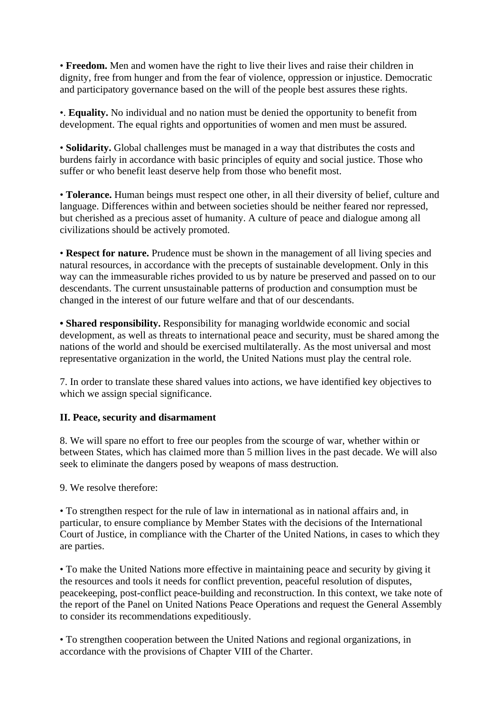• **Freedom.** Men and women have the right to live their lives and raise their children in dignity, free from hunger and from the fear of violence, oppression or injustice. Democratic and participatory governance based on the will of the people best assures these rights.

•. **Equality.** No individual and no nation must be denied the opportunity to benefit from development. The equal rights and opportunities of women and men must be assured.

• **Solidarity.** Global challenges must be managed in a way that distributes the costs and burdens fairly in accordance with basic principles of equity and social justice. Those who suffer or who benefit least deserve help from those who benefit most.

• **Tolerance.** Human beings must respect one other, in all their diversity of belief, culture and language. Differences within and between societies should be neither feared nor repressed, but cherished as a precious asset of humanity. A culture of peace and dialogue among all civilizations should be actively promoted.

• **Respect for nature.** Prudence must be shown in the management of all living species and natural resources, in accordance with the precepts of sustainable development. Only in this way can the immeasurable riches provided to us by nature be preserved and passed on to our descendants. The current unsustainable patterns of production and consumption must be changed in the interest of our future welfare and that of our descendants.

**• Shared responsibility.** Responsibility for managing worldwide economic and social development, as well as threats to international peace and security, must be shared among the nations of the world and should be exercised multilaterally. As the most universal and most representative organization in the world, the United Nations must play the central role.

7. In order to translate these shared values into actions, we have identified key objectives to which we assign special significance.

#### **II. Peace, security and disarmament**

8. We will spare no effort to free our peoples from the scourge of war, whether within or between States, which has claimed more than 5 million lives in the past decade. We will also seek to eliminate the dangers posed by weapons of mass destruction.

9. We resolve therefore:

• To strengthen respect for the rule of law in international as in national affairs and, in particular, to ensure compliance by Member States with the decisions of the International Court of Justice, in compliance with the Charter of the United Nations, in cases to which they are parties.

• To make the United Nations more effective in maintaining peace and security by giving it the resources and tools it needs for conflict prevention, peaceful resolution of disputes, peacekeeping, post-conflict peace-building and reconstruction. In this context, we take note of the report of the Panel on United Nations Peace Operations and request the General Assembly to consider its recommendations expeditiously.

• To strengthen cooperation between the United Nations and regional organizations, in accordance with the provisions of Chapter VIII of the Charter.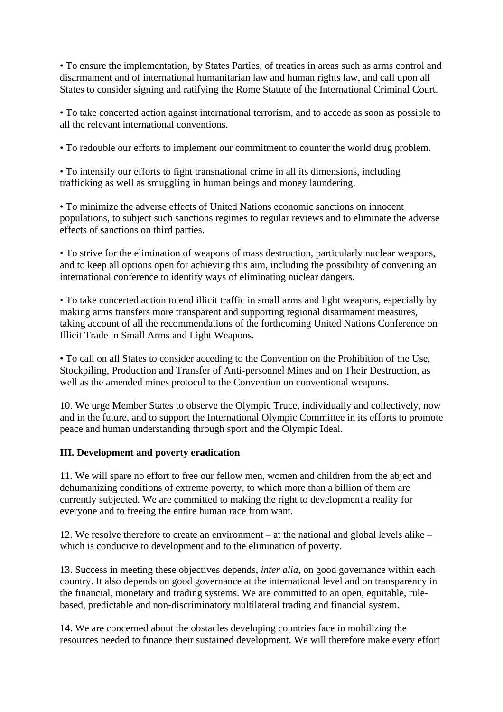• To ensure the implementation, by States Parties, of treaties in areas such as arms control and disarmament and of international humanitarian law and human rights law, and call upon all States to consider signing and ratifying the Rome Statute of the International Criminal Court.

• To take concerted action against international terrorism, and to accede as soon as possible to all the relevant international conventions.

• To redouble our efforts to implement our commitment to counter the world drug problem.

• To intensify our efforts to fight transnational crime in all its dimensions, including trafficking as well as smuggling in human beings and money laundering.

• To minimize the adverse effects of United Nations economic sanctions on innocent populations, to subject such sanctions regimes to regular reviews and to eliminate the adverse effects of sanctions on third parties.

• To strive for the elimination of weapons of mass destruction, particularly nuclear weapons, and to keep all options open for achieving this aim, including the possibility of convening an international conference to identify ways of eliminating nuclear dangers.

• To take concerted action to end illicit traffic in small arms and light weapons, especially by making arms transfers more transparent and supporting regional disarmament measures, taking account of all the recommendations of the forthcoming United Nations Conference on Illicit Trade in Small Arms and Light Weapons.

• To call on all States to consider acceding to the Convention on the Prohibition of the Use, Stockpiling, Production and Transfer of Anti-personnel Mines and on Their Destruction, as well as the amended mines protocol to the Convention on conventional weapons.

10. We urge Member States to observe the Olympic Truce, individually and collectively, now and in the future, and to support the International Olympic Committee in its efforts to promote peace and human understanding through sport and the Olympic Ideal.

#### **III. Development and poverty eradication**

11. We will spare no effort to free our fellow men, women and children from the abject and dehumanizing conditions of extreme poverty, to which more than a billion of them are currently subjected. We are committed to making the right to development a reality for everyone and to freeing the entire human race from want.

12. We resolve therefore to create an environment – at the national and global levels alike – which is conducive to development and to the elimination of poverty.

13. Success in meeting these objectives depends, *inter alia*, on good governance within each country. It also depends on good governance at the international level and on transparency in the financial, monetary and trading systems. We are committed to an open, equitable, rulebased, predictable and non-discriminatory multilateral trading and financial system.

14. We are concerned about the obstacles developing countries face in mobilizing the resources needed to finance their sustained development. We will therefore make every effort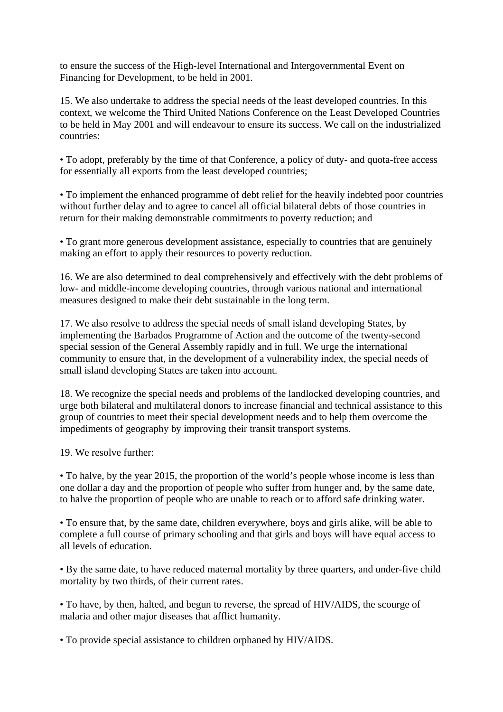to ensure the success of the High-level International and Intergovernmental Event on Financing for Development, to be held in 2001.

15. We also undertake to address the special needs of the least developed countries. In this context, we welcome the Third United Nations Conference on the Least Developed Countries to be held in May 2001 and will endeavour to ensure its success. We call on the industrialized countries:

• To adopt, preferably by the time of that Conference, a policy of duty- and quota-free access for essentially all exports from the least developed countries;

• To implement the enhanced programme of debt relief for the heavily indebted poor countries without further delay and to agree to cancel all official bilateral debts of those countries in return for their making demonstrable commitments to poverty reduction; and

• To grant more generous development assistance, especially to countries that are genuinely making an effort to apply their resources to poverty reduction.

16. We are also determined to deal comprehensively and effectively with the debt problems of low- and middle-income developing countries, through various national and international measures designed to make their debt sustainable in the long term.

17. We also resolve to address the special needs of small island developing States, by implementing the Barbados Programme of Action and the outcome of the twenty-second special session of the General Assembly rapidly and in full. We urge the international community to ensure that, in the development of a vulnerability index, the special needs of small island developing States are taken into account.

18. We recognize the special needs and problems of the landlocked developing countries, and urge both bilateral and multilateral donors to increase financial and technical assistance to this group of countries to meet their special development needs and to help them overcome the impediments of geography by improving their transit transport systems.

19. We resolve further:

• To halve, by the year 2015, the proportion of the world's people whose income is less than one dollar a day and the proportion of people who suffer from hunger and, by the same date, to halve the proportion of people who are unable to reach or to afford safe drinking water.

• To ensure that, by the same date, children everywhere, boys and girls alike, will be able to complete a full course of primary schooling and that girls and boys will have equal access to all levels of education.

• By the same date, to have reduced maternal mortality by three quarters, and under-five child mortality by two thirds, of their current rates.

• To have, by then, halted, and begun to reverse, the spread of HIV/AIDS, the scourge of malaria and other major diseases that afflict humanity.

• To provide special assistance to children orphaned by HIV/AIDS.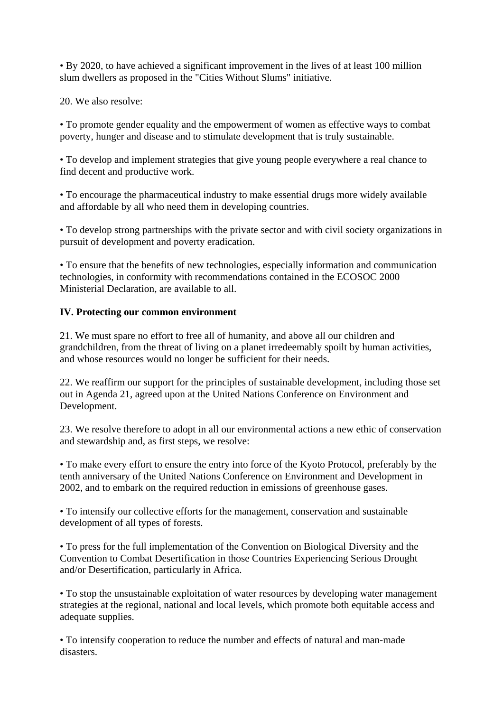• By 2020, to have achieved a significant improvement in the lives of at least 100 million slum dwellers as proposed in the "Cities Without Slums" initiative.

20. We also resolve:

• To promote gender equality and the empowerment of women as effective ways to combat poverty, hunger and disease and to stimulate development that is truly sustainable.

• To develop and implement strategies that give young people everywhere a real chance to find decent and productive work.

• To encourage the pharmaceutical industry to make essential drugs more widely available and affordable by all who need them in developing countries.

• To develop strong partnerships with the private sector and with civil society organizations in pursuit of development and poverty eradication.

• To ensure that the benefits of new technologies, especially information and communication technologies, in conformity with recommendations contained in the ECOSOC 2000 Ministerial Declaration, are available to all.

## **IV. Protecting our common environment**

21. We must spare no effort to free all of humanity, and above all our children and grandchildren, from the threat of living on a planet irredeemably spoilt by human activities, and whose resources would no longer be sufficient for their needs.

22. We reaffirm our support for the principles of sustainable development, including those set out in Agenda 21, agreed upon at the United Nations Conference on Environment and Development.

23. We resolve therefore to adopt in all our environmental actions a new ethic of conservation and stewardship and, as first steps, we resolve:

• To make every effort to ensure the entry into force of the Kyoto Protocol, preferably by the tenth anniversary of the United Nations Conference on Environment and Development in 2002, and to embark on the required reduction in emissions of greenhouse gases.

• To intensify our collective efforts for the management, conservation and sustainable development of all types of forests.

• To press for the full implementation of the Convention on Biological Diversity and the Convention to Combat Desertification in those Countries Experiencing Serious Drought and/or Desertification, particularly in Africa.

• To stop the unsustainable exploitation of water resources by developing water management strategies at the regional, national and local levels, which promote both equitable access and adequate supplies.

• To intensify cooperation to reduce the number and effects of natural and man-made disasters.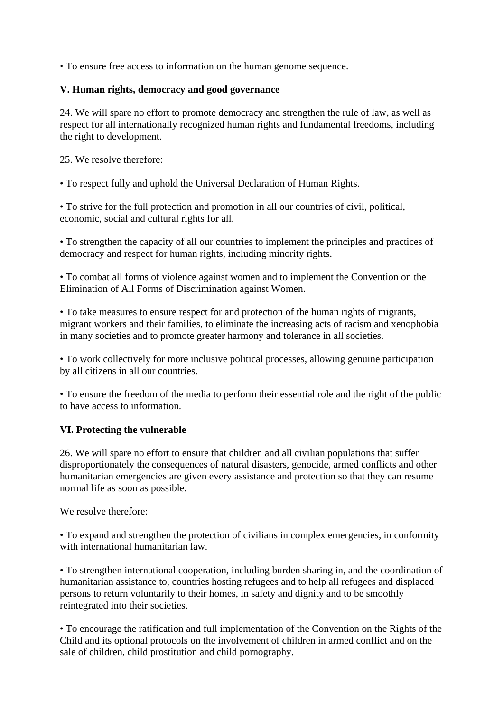• To ensure free access to information on the human genome sequence.

## **V. Human rights, democracy and good governance**

24. We will spare no effort to promote democracy and strengthen the rule of law, as well as respect for all internationally recognized human rights and fundamental freedoms, including the right to development.

25. We resolve therefore:

• To respect fully and uphold the Universal Declaration of Human Rights.

• To strive for the full protection and promotion in all our countries of civil, political, economic, social and cultural rights for all.

• To strengthen the capacity of all our countries to implement the principles and practices of democracy and respect for human rights, including minority rights.

• To combat all forms of violence against women and to implement the Convention on the Elimination of All Forms of Discrimination against Women.

• To take measures to ensure respect for and protection of the human rights of migrants, migrant workers and their families, to eliminate the increasing acts of racism and xenophobia in many societies and to promote greater harmony and tolerance in all societies.

• To work collectively for more inclusive political processes, allowing genuine participation by all citizens in all our countries.

• To ensure the freedom of the media to perform their essential role and the right of the public to have access to information.

## **VI. Protecting the vulnerable**

26. We will spare no effort to ensure that children and all civilian populations that suffer disproportionately the consequences of natural disasters, genocide, armed conflicts and other humanitarian emergencies are given every assistance and protection so that they can resume normal life as soon as possible.

We resolve therefore:

• To expand and strengthen the protection of civilians in complex emergencies, in conformity with international humanitarian law.

• To strengthen international cooperation, including burden sharing in, and the coordination of humanitarian assistance to, countries hosting refugees and to help all refugees and displaced persons to return voluntarily to their homes, in safety and dignity and to be smoothly reintegrated into their societies.

• To encourage the ratification and full implementation of the Convention on the Rights of the Child and its optional protocols on the involvement of children in armed conflict and on the sale of children, child prostitution and child pornography.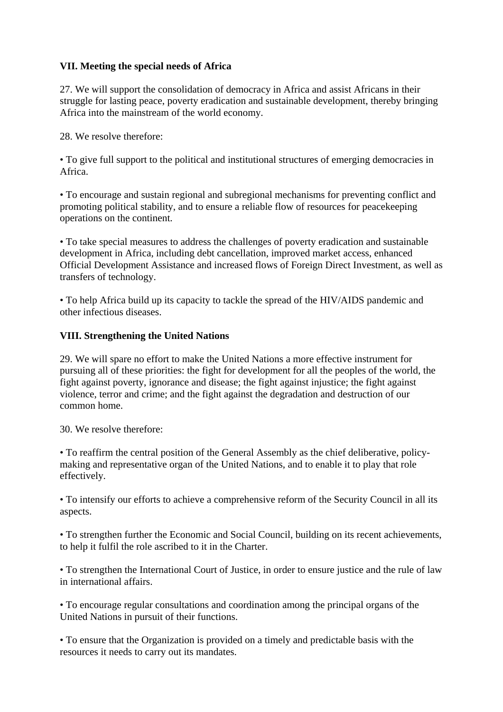## **VII. Meeting the special needs of Africa**

27. We will support the consolidation of democracy in Africa and assist Africans in their struggle for lasting peace, poverty eradication and sustainable development, thereby bringing Africa into the mainstream of the world economy.

28. We resolve therefore:

• To give full support to the political and institutional structures of emerging democracies in Africa.

• To encourage and sustain regional and subregional mechanisms for preventing conflict and promoting political stability, and to ensure a reliable flow of resources for peacekeeping operations on the continent.

• To take special measures to address the challenges of poverty eradication and sustainable development in Africa, including debt cancellation, improved market access, enhanced Official Development Assistance and increased flows of Foreign Direct Investment, as well as transfers of technology.

• To help Africa build up its capacity to tackle the spread of the HIV/AIDS pandemic and other infectious diseases.

#### **VIII. Strengthening the United Nations**

29. We will spare no effort to make the United Nations a more effective instrument for pursuing all of these priorities: the fight for development for all the peoples of the world, the fight against poverty, ignorance and disease; the fight against injustice; the fight against violence, terror and crime; and the fight against the degradation and destruction of our common home.

30. We resolve therefore:

• To reaffirm the central position of the General Assembly as the chief deliberative, policymaking and representative organ of the United Nations, and to enable it to play that role effectively.

• To intensify our efforts to achieve a comprehensive reform of the Security Council in all its aspects.

• To strengthen further the Economic and Social Council, building on its recent achievements, to help it fulfil the role ascribed to it in the Charter.

• To strengthen the International Court of Justice, in order to ensure justice and the rule of law in international affairs.

• To encourage regular consultations and coordination among the principal organs of the United Nations in pursuit of their functions.

• To ensure that the Organization is provided on a timely and predictable basis with the resources it needs to carry out its mandates.